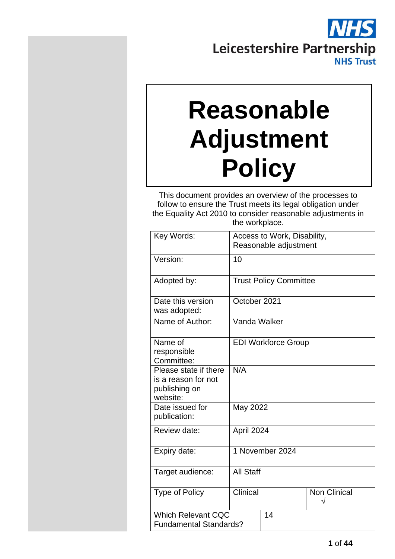## Leicestershire Partnership **NHS Trust**

# **Reasonable Adjustment Policy**

This document provides an overview of the processes to follow to ensure the Trust meets its legal obligation under the Equality Act 2010 to consider reasonable adjustments in the workplace.

| Key Words:                                                                | Access to Work, Disability,<br>Reasonable adjustment |  |  |  |
|---------------------------------------------------------------------------|------------------------------------------------------|--|--|--|
| Version:                                                                  | 10                                                   |  |  |  |
| Adopted by:                                                               | <b>Trust Policy Committee</b>                        |  |  |  |
| Date this version<br>was adopted:                                         | October 2021                                         |  |  |  |
| Name of Author:                                                           | Vanda Walker                                         |  |  |  |
| Name of<br>responsible<br>Committee:                                      | <b>EDI Workforce Group</b>                           |  |  |  |
| Please state if there<br>is a reason for not<br>publishing on<br>website: | N/A                                                  |  |  |  |
| Date issued for<br>publication:                                           | May 2022                                             |  |  |  |
| Review date:                                                              | April 2024                                           |  |  |  |
| Expiry date:                                                              | 1 November 2024                                      |  |  |  |
| Target audience:                                                          | <b>All Staff</b>                                     |  |  |  |
| Type of Policy                                                            | Clinical<br><b>Non Clinical</b><br>$\sqrt{}$         |  |  |  |
| <b>Which Relevant CQC</b>                                                 | 14                                                   |  |  |  |
| <b>Fundamental Standards?</b>                                             |                                                      |  |  |  |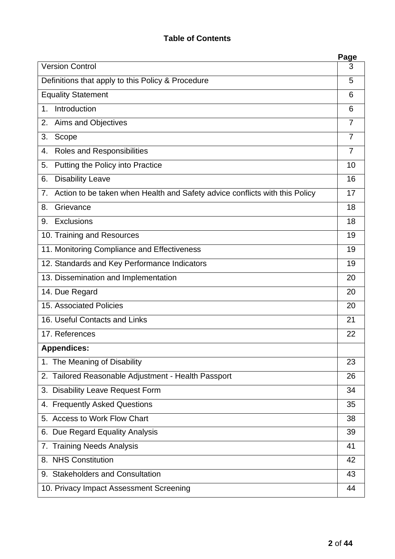#### **Table of Contents**

|                                                                                   | Page           |
|-----------------------------------------------------------------------------------|----------------|
| <b>Version Control</b>                                                            | 3              |
| Definitions that apply to this Policy & Procedure                                 | 5              |
| <b>Equality Statement</b>                                                         | 6              |
| Introduction<br>$\mathbf 1$ .                                                     | 6              |
| Aims and Objectives<br>2.                                                         | $\overline{7}$ |
| 3.<br>Scope                                                                       | $\overline{7}$ |
| Roles and Responsibilities<br>4.                                                  | $\overline{7}$ |
| Putting the Policy into Practice<br>5.                                            | 10             |
| <b>Disability Leave</b><br>6.                                                     | 16             |
| Action to be taken when Health and Safety advice conflicts with this Policy<br>7. | 17             |
| 8.<br>Grievance                                                                   | 18             |
| Exclusions<br>9.                                                                  | 18             |
| 10. Training and Resources                                                        | 19             |
| 11. Monitoring Compliance and Effectiveness                                       | 19             |
| 12. Standards and Key Performance Indicators                                      | 19             |
| 13. Dissemination and Implementation                                              | 20             |
| 14. Due Regard                                                                    | 20             |
| 15. Associated Policies                                                           | 20             |
| 16. Useful Contacts and Links                                                     | 21             |
| 17. References                                                                    | 22             |
| <b>Appendices:</b>                                                                |                |
| 1. The Meaning of Disability                                                      | 23             |
| 2. Tailored Reasonable Adjustment - Health Passport                               | 26             |
| 3. Disability Leave Request Form                                                  | 34             |
| 4. Frequently Asked Questions                                                     | 35             |
| 5. Access to Work Flow Chart                                                      | 38             |
| 6. Due Regard Equality Analysis                                                   | 39             |
| 7. Training Needs Analysis                                                        | 41             |
| 8. NHS Constitution                                                               | 42             |
| 9. Stakeholders and Consultation                                                  | 43             |
| 10. Privacy Impact Assessment Screening                                           | 44             |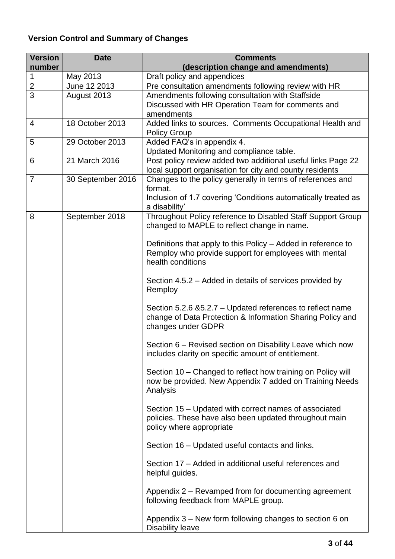## **Version Control and Summary of Changes**

| <b>Version</b><br>number | <b>Date</b>       | <b>Comments</b><br>(description change and amendments)                                                                                         |  |  |
|--------------------------|-------------------|------------------------------------------------------------------------------------------------------------------------------------------------|--|--|
| 1                        | May 2013          | Draft policy and appendices                                                                                                                    |  |  |
| $\overline{2}$           | June 12 2013      | Pre consultation amendments following review with HR                                                                                           |  |  |
| 3                        | August 2013       | Amendments following consultation with Staffside                                                                                               |  |  |
|                          |                   | Discussed with HR Operation Team for comments and<br>amendments                                                                                |  |  |
| 4                        | 18 October 2013   | Added links to sources. Comments Occupational Health and<br><b>Policy Group</b>                                                                |  |  |
| 5                        | 29 October 2013   | Added FAQ's in appendix 4.<br>Updated Monitoring and compliance table.                                                                         |  |  |
| 6                        | 21 March 2016     | Post policy review added two additional useful links Page 22<br>local support organisation for city and county residents                       |  |  |
| $\overline{7}$           | 30 September 2016 | Changes to the policy generally in terms of references and<br>format.                                                                          |  |  |
|                          |                   | Inclusion of 1.7 covering 'Conditions automatically treated as<br>a disability'                                                                |  |  |
| 8                        | September 2018    | Throughout Policy reference to Disabled Staff Support Group<br>changed to MAPLE to reflect change in name.                                     |  |  |
|                          |                   | Definitions that apply to this Policy – Added in reference to<br>Remploy who provide support for employees with mental<br>health conditions    |  |  |
|                          |                   | Section 4.5.2 – Added in details of services provided by<br>Remploy                                                                            |  |  |
|                          |                   | Section 5.2.6 & 5.2.7 - Updated references to reflect name<br>change of Data Protection & Information Sharing Policy and<br>changes under GDPR |  |  |
|                          |                   | Section 6 – Revised section on Disability Leave which now<br>includes clarity on specific amount of entitlement.                               |  |  |
|                          |                   | Section 10 – Changed to reflect how training on Policy will<br>now be provided. New Appendix 7 added on Training Needs<br>Analysis             |  |  |
|                          |                   | Section 15 – Updated with correct names of associated<br>policies. These have also been updated throughout main<br>policy where appropriate    |  |  |
|                          |                   | Section 16 – Updated useful contacts and links.                                                                                                |  |  |
|                          |                   | Section 17 – Added in additional useful references and<br>helpful guides.                                                                      |  |  |
|                          |                   | Appendix 2 – Revamped from for documenting agreement<br>following feedback from MAPLE group.                                                   |  |  |
|                          |                   | Appendix 3 – New form following changes to section 6 on<br><b>Disability leave</b>                                                             |  |  |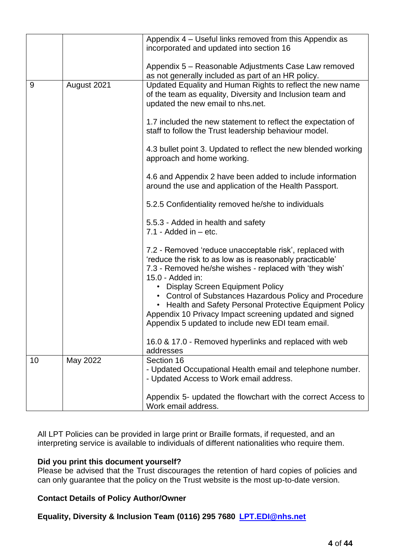|    |             | Appendix 4 – Useful links removed from this Appendix as                                                      |
|----|-------------|--------------------------------------------------------------------------------------------------------------|
|    |             | incorporated and updated into section 16                                                                     |
|    |             |                                                                                                              |
|    |             | Appendix 5 - Reasonable Adjustments Case Law removed                                                         |
|    |             | as not generally included as part of an HR policy.                                                           |
| 9  | August 2021 | Updated Equality and Human Rights to reflect the new name                                                    |
|    |             | of the team as equality, Diversity and Inclusion team and                                                    |
|    |             | updated the new email to nhs.net.                                                                            |
|    |             |                                                                                                              |
|    |             | 1.7 included the new statement to reflect the expectation of                                                 |
|    |             | staff to follow the Trust leadership behaviour model.                                                        |
|    |             |                                                                                                              |
|    |             | 4.3 bullet point 3. Updated to reflect the new blended working                                               |
|    |             | approach and home working.                                                                                   |
|    |             | 4.6 and Appendix 2 have been added to include information                                                    |
|    |             | around the use and application of the Health Passport.                                                       |
|    |             |                                                                                                              |
|    |             | 5.2.5 Confidentiality removed he/she to individuals                                                          |
|    |             |                                                                                                              |
|    |             | 5.5.3 - Added in health and safety                                                                           |
|    |             | $7.1 -$ Added in $-$ etc.                                                                                    |
|    |             |                                                                                                              |
|    |             | 7.2 - Removed 'reduce unacceptable risk', replaced with                                                      |
|    |             | 'reduce the risk to as low as is reasonably practicable'                                                     |
|    |             | 7.3 - Removed he/she wishes - replaced with 'they wish'                                                      |
|    |             | 15.0 - Added in:                                                                                             |
|    |             | • Display Screen Equipment Policy                                                                            |
|    |             | • Control of Substances Hazardous Policy and Procedure                                                       |
|    |             | • Health and Safety Personal Protective Equipment Policy                                                     |
|    |             | Appendix 10 Privacy Impact screening updated and signed<br>Appendix 5 updated to include new EDI team email. |
|    |             |                                                                                                              |
|    |             | 16.0 & 17.0 - Removed hyperlinks and replaced with web                                                       |
|    |             | addresses                                                                                                    |
| 10 | May 2022    | Section 16                                                                                                   |
|    |             | - Updated Occupational Health email and telephone number.                                                    |
|    |             | - Updated Access to Work email address.                                                                      |
|    |             |                                                                                                              |
|    |             | Appendix 5- updated the flowchart with the correct Access to                                                 |
|    |             | Work email address.                                                                                          |

All LPT Policies can be provided in large print or Braille formats, if requested, and an interpreting service is available to individuals of different nationalities who require them.

#### **Did you print this document yourself?**

Please be advised that the Trust discourages the retention of hard copies of policies and can only guarantee that the policy on the Trust website is the most up-to-date version.

#### **Contact Details of Policy Author/Owner**

**Equality, Diversity & Inclusion Team (0116) 295 7680 [LPT.EDI@nhs.net](mailto:LPT.EDI@nhs.net)**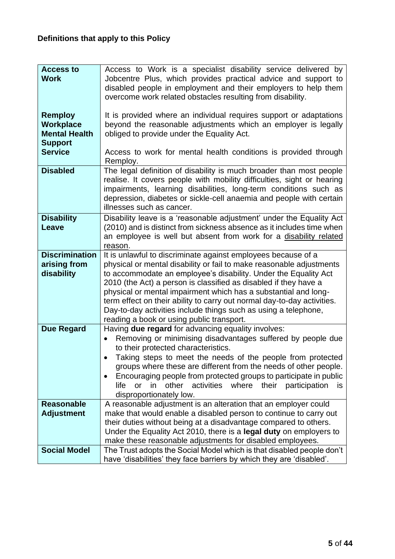| <b>Access to</b><br><b>Work</b>                                              | Access to Work is a specialist disability service delivered by<br>Jobcentre Plus, which provides practical advice and support to<br>disabled people in employment and their employers to help them<br>overcome work related obstacles resulting from disability.                                                                                                                                                                                                                                                                           |
|------------------------------------------------------------------------------|--------------------------------------------------------------------------------------------------------------------------------------------------------------------------------------------------------------------------------------------------------------------------------------------------------------------------------------------------------------------------------------------------------------------------------------------------------------------------------------------------------------------------------------------|
| <b>Remploy</b><br><b>Workplace</b><br><b>Mental Health</b><br><b>Support</b> | It is provided where an individual requires support or adaptations<br>beyond the reasonable adjustments which an employer is legally<br>obliged to provide under the Equality Act.                                                                                                                                                                                                                                                                                                                                                         |
| <b>Service</b>                                                               | Access to work for mental health conditions is provided through<br>Remploy.                                                                                                                                                                                                                                                                                                                                                                                                                                                                |
| <b>Disabled</b>                                                              | The legal definition of disability is much broader than most people<br>realise. It covers people with mobility difficulties, sight or hearing<br>impairments, learning disabilities, long-term conditions such as<br>depression, diabetes or sickle-cell anaemia and people with certain<br>illnesses such as cancer.                                                                                                                                                                                                                      |
| <b>Disability</b><br>Leave                                                   | Disability leave is a 'reasonable adjustment' under the Equality Act<br>(2010) and is distinct from sickness absence as it includes time when<br>an employee is well but absent from work for a disability related<br>reason.                                                                                                                                                                                                                                                                                                              |
| <b>Discrimination</b><br>arising from<br>disability                          | It is unlawful to discriminate against employees because of a<br>physical or mental disability or fail to make reasonable adjustments<br>to accommodate an employee's disability. Under the Equality Act<br>2010 (the Act) a person is classified as disabled if they have a<br>physical or mental impairment which has a substantial and long-<br>term effect on their ability to carry out normal day-to-day activities.<br>Day-to-day activities include things such as using a telephone,<br>reading a book or using public transport. |
| <b>Due Regard</b>                                                            | Having due regard for advancing equality involves:<br>Removing or minimising disadvantages suffered by people due<br>to their protected characteristics.<br>Taking steps to meet the needs of the people from protected<br>$\bullet$<br>groups where these are different from the needs of other people.<br>Encouraging people from protected groups to participate in public<br>$\bullet$<br>other<br>activities where<br>their<br>participation<br>life<br><b>or</b><br>in in<br>is<br>disproportionately low.                           |
| <b>Reasonable</b><br><b>Adjustment</b>                                       | A reasonable adjustment is an alteration that an employer could<br>make that would enable a disabled person to continue to carry out<br>their duties without being at a disadvantage compared to others.<br>Under the Equality Act 2010, there is a legal duty on employers to<br>make these reasonable adjustments for disabled employees.                                                                                                                                                                                                |
| <b>Social Model</b>                                                          | The Trust adopts the Social Model which is that disabled people don't<br>have 'disabilities' they face barriers by which they are 'disabled'.                                                                                                                                                                                                                                                                                                                                                                                              |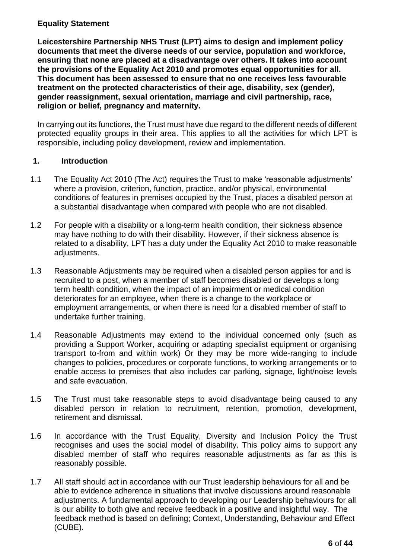#### **Equality Statement**

**Leicestershire Partnership NHS Trust (LPT) aims to design and implement policy documents that meet the diverse needs of our service, population and workforce, ensuring that none are placed at a disadvantage over others. It takes into account the provisions of the Equality Act 2010 and promotes equal opportunities for all. This document has been assessed to ensure that no one receives less favourable treatment on the protected characteristics of their age, disability, sex (gender), gender reassignment, sexual orientation, marriage and civil partnership, race, religion or belief, pregnancy and maternity.**

In carrying out its functions, the Trust must have due regard to the different needs of different protected equality groups in their area. This applies to all the activities for which LPT is responsible, including policy development, review and implementation.

#### **1. Introduction**

- 1.1 The Equality Act 2010 (The Act) requires the Trust to make 'reasonable adjustments' where a provision, criterion, function, practice, and/or physical, environmental conditions of features in premises occupied by the Trust, places a disabled person at a substantial disadvantage when compared with people who are not disabled.
- 1.2 For people with a disability or a long-term health condition, their sickness absence may have nothing to do with their disability. However, if their sickness absence is related to a disability, LPT has a duty under the Equality Act 2010 to make reasonable adjustments.
- 1.3 Reasonable Adjustments may be required when a disabled person applies for and is recruited to a post, when a member of staff becomes disabled or develops a long term health condition, when the impact of an impairment or medical condition deteriorates for an employee, when there is a change to the workplace or employment arrangements, or when there is need for a disabled member of staff to undertake further training.
- 1.4 Reasonable Adjustments may extend to the individual concerned only (such as providing a Support Worker, acquiring or adapting specialist equipment or organising transport to-from and within work) Or they may be more wide-ranging to include changes to policies, procedures or corporate functions, to working arrangements or to enable access to premises that also includes car parking, signage, light/noise levels and safe evacuation.
- 1.5 The Trust must take reasonable steps to avoid disadvantage being caused to any disabled person in relation to recruitment, retention, promotion, development, retirement and dismissal.
- 1.6 In accordance with the Trust Equality, Diversity and Inclusion Policy the Trust recognises and uses the social model of disability. This policy aims to support any disabled member of staff who requires reasonable adjustments as far as this is reasonably possible.
- 1.7 All staff should act in accordance with our Trust leadership behaviours for all and be able to evidence adherence in situations that involve discussions around reasonable adjustments. A fundamental approach to developing our Leadership behaviours for all is our ability to both give and receive feedback in a positive and insightful way. The feedback method is based on defining; Context, Understanding, Behaviour and Effect (CUBE).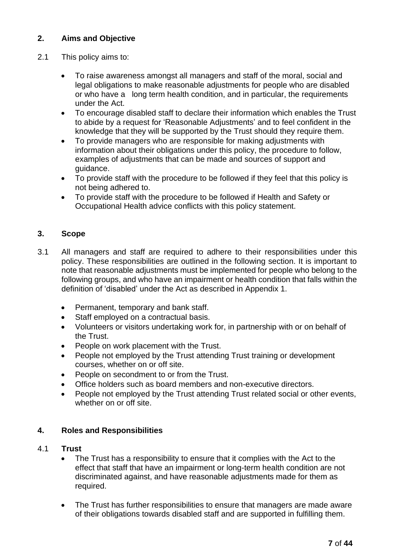#### **2. Aims and Objective**

- 2.1 This policy aims to:
	- To raise awareness amongst all managers and staff of the moral, social and legal obligations to make reasonable adjustments for people who are disabled or who have a long term health condition, and in particular, the requirements under the Act.
	- To encourage disabled staff to declare their information which enables the Trust to abide by a request for 'Reasonable Adjustments' and to feel confident in the knowledge that they will be supported by the Trust should they require them.
	- To provide managers who are responsible for making adjustments with information about their obligations under this policy, the procedure to follow, examples of adjustments that can be made and sources of support and guidance.
	- To provide staff with the procedure to be followed if they feel that this policy is not being adhered to.
	- To provide staff with the procedure to be followed if Health and Safety or Occupational Health advice conflicts with this policy statement.

#### **3. Scope**

- 3.1 All managers and staff are required to adhere to their responsibilities under this policy. These responsibilities are outlined in the following section. It is important to note that reasonable adjustments must be implemented for people who belong to the following groups, and who have an impairment or health condition that falls within the definition of 'disabled' under the Act as described in Appendix 1.
	- Permanent, temporary and bank staff.
	- Staff employed on a contractual basis.
	- Volunteers or visitors undertaking work for, in partnership with or on behalf of the Trust.
	- People on work placement with the Trust.
	- People not employed by the Trust attending Trust training or development courses, whether on or off site.
	- People on secondment to or from the Trust.
	- Office holders such as board members and non-executive directors.
	- People not employed by the Trust attending Trust related social or other events, whether on or off site.

#### **4. Roles and Responsibilities**

#### 4.1 **Trust**

- The Trust has a responsibility to ensure that it complies with the Act to the effect that staff that have an impairment or long-term health condition are not discriminated against, and have reasonable adjustments made for them as required.
- The Trust has further responsibilities to ensure that managers are made aware of their obligations towards disabled staff and are supported in fulfilling them.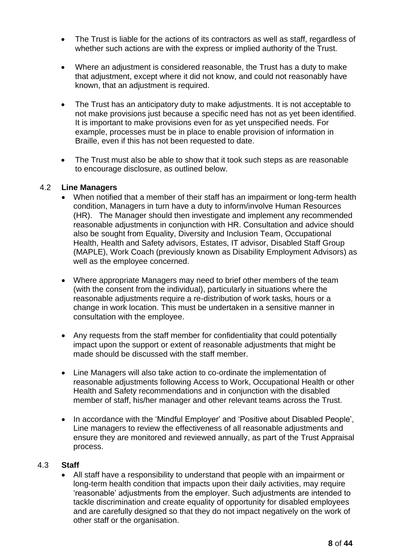- The Trust is liable for the actions of its contractors as well as staff, regardless of whether such actions are with the express or implied authority of the Trust.
- Where an adjustment is considered reasonable, the Trust has a duty to make that adjustment, except where it did not know, and could not reasonably have known, that an adjustment is required.
- The Trust has an anticipatory duty to make adjustments. It is not acceptable to not make provisions just because a specific need has not as yet been identified. It is important to make provisions even for as yet unspecified needs. For example, processes must be in place to enable provision of information in Braille, even if this has not been requested to date.
- The Trust must also be able to show that it took such steps as are reasonable to encourage disclosure, as outlined below.

#### 4.2 **Line Managers**

- When notified that a member of their staff has an impairment or long-term health condition, Managers in turn have a duty to inform/involve Human Resources (HR). The Manager should then investigate and implement any recommended reasonable adjustments in conjunction with HR. Consultation and advice should also be sought from Equality, Diversity and Inclusion Team, Occupational Health, Health and Safety advisors, Estates, IT advisor, Disabled Staff Group (MAPLE), Work Coach (previously known as Disability Employment Advisors) as well as the employee concerned.
- Where appropriate Managers may need to brief other members of the team (with the consent from the individual), particularly in situations where the reasonable adjustments require a re-distribution of work tasks, hours or a change in work location. This must be undertaken in a sensitive manner in consultation with the employee.
- Any requests from the staff member for confidentiality that could potentially impact upon the support or extent of reasonable adjustments that might be made should be discussed with the staff member.
- Line Managers will also take action to co-ordinate the implementation of reasonable adjustments following Access to Work, Occupational Health or other Health and Safety recommendations and in conjunction with the disabled member of staff, his/her manager and other relevant teams across the Trust.
- In accordance with the 'Mindful Employer' and 'Positive about Disabled People', Line managers to review the effectiveness of all reasonable adjustments and ensure they are monitored and reviewed annually, as part of the Trust Appraisal process.

#### 4.3 **Staff**

• All staff have a responsibility to understand that people with an impairment or long-term health condition that impacts upon their daily activities, may require 'reasonable' adjustments from the employer. Such adjustments are intended to tackle discrimination and create equality of opportunity for disabled employees and are carefully designed so that they do not impact negatively on the work of other staff or the organisation.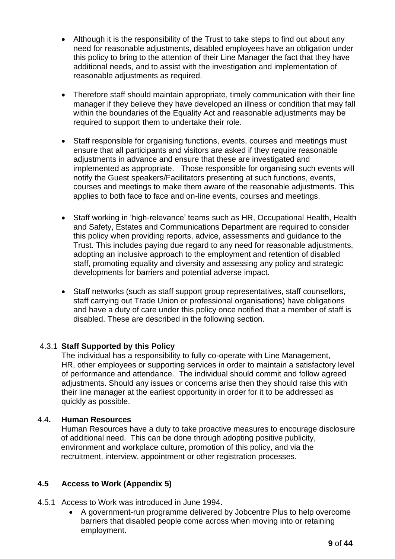- Although it is the responsibility of the Trust to take steps to find out about any need for reasonable adjustments, disabled employees have an obligation under this policy to bring to the attention of their Line Manager the fact that they have additional needs, and to assist with the investigation and implementation of reasonable adjustments as required.
- Therefore staff should maintain appropriate, timely communication with their line manager if they believe they have developed an illness or condition that may fall within the boundaries of the Equality Act and reasonable adjustments may be required to support them to undertake their role.
- Staff responsible for organising functions, events, courses and meetings must ensure that all participants and visitors are asked if they require reasonable adjustments in advance and ensure that these are investigated and implemented as appropriate. Those responsible for organising such events will notify the Guest speakers/Facilitators presenting at such functions, events, courses and meetings to make them aware of the reasonable adjustments. This applies to both face to face and on-line events, courses and meetings.
- Staff working in 'high-relevance' teams such as HR, Occupational Health, Health and Safety, Estates and Communications Department are required to consider this policy when providing reports, advice, assessments and guidance to the Trust. This includes paying due regard to any need for reasonable adjustments, adopting an inclusive approach to the employment and retention of disabled staff, promoting equality and diversity and assessing any policy and strategic developments for barriers and potential adverse impact.
- Staff networks (such as staff support group representatives, staff counsellors, staff carrying out Trade Union or professional organisations) have obligations and have a duty of care under this policy once notified that a member of staff is disabled. These are described in the following section.

#### 4.3.1 **Staff Supported by this Policy**

The individual has a responsibility to fully co-operate with Line Management, HR, other employees or supporting services in order to maintain a satisfactory level of performance and attendance. The individual should commit and follow agreed adjustments. Should any issues or concerns arise then they should raise this with their line manager at the earliest opportunity in order for it to be addressed as quickly as possible.

#### 4.4**. Human Resources**

Human Resources have a duty to take proactive measures to encourage disclosure of additional need. This can be done through adopting positive publicity, environment and workplace culture, promotion of this policy, and via the recruitment, interview, appointment or other registration processes.

#### **4.5 Access to Work (Appendix 5)**

- 4.5.1 Access to Work was introduced in June 1994.
	- A government-run programme delivered by Jobcentre Plus to help overcome barriers that disabled people come across when moving into or retaining employment.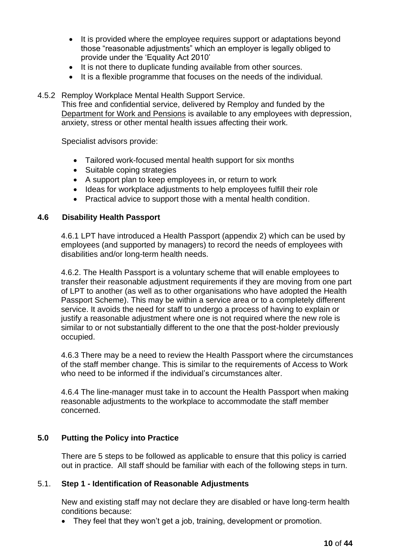- It is provided where the employee requires support or adaptations beyond those "reasonable adjustments" which an employer is legally obliged to provide under the 'Equality Act 2010'
- It is not there to duplicate funding available from other sources.
- It is a flexible programme that focuses on the needs of the individual.

#### 4.5.2 Remploy Workplace Mental Health Support Service. This free and confidential service, delivered by Remploy and funded by the Department for Work and Pensions is available to any employees with depression, anxiety, stress or other mental health issues affecting their work.

Specialist advisors provide:

- Tailored work-focused mental health support for six months
- Suitable coping strategies
- A support plan to keep employees in, or return to work
- Ideas for workplace adjustments to help employees fulfill their role
- Practical advice to support those with a mental health condition.

#### **4.6 Disability Health Passport**

4.6.1 LPT have introduced a Health Passport (appendix 2) which can be used by employees (and supported by managers) to record the needs of employees with disabilities and/or long-term health needs.

4.6.2. The Health Passport is a voluntary scheme that will enable employees to transfer their reasonable adjustment requirements if they are moving from one part of LPT to another (as well as to other organisations who have adopted the Health Passport Scheme). This may be within a service area or to a completely different service. It avoids the need for staff to undergo a process of having to explain or justify a reasonable adjustment where one is not required where the new role is similar to or not substantially different to the one that the post-holder previously occupied.

4.6.3 There may be a need to review the Health Passport where the circumstances of the staff member change. This is similar to the requirements of Access to Work who need to be informed if the individual's circumstances alter.

4.6.4 The line-manager must take in to account the Health Passport when making reasonable adjustments to the workplace to accommodate the staff member concerned.

#### **5.0 Putting the Policy into Practice**

There are 5 steps to be followed as applicable to ensure that this policy is carried out in practice. All staff should be familiar with each of the following steps in turn.

#### 5.1. **Step 1 - Identification of Reasonable Adjustments**

New and existing staff may not declare they are disabled or have long-term health conditions because:

• They feel that they won't get a job, training, development or promotion.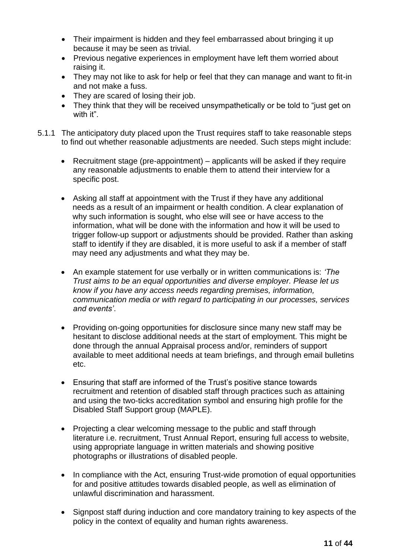- Their impairment is hidden and they feel embarrassed about bringing it up because it may be seen as trivial.
- Previous negative experiences in employment have left them worried about raising it.
- They may not like to ask for help or feel that they can manage and want to fit-in and not make a fuss.
- They are scared of losing their job.
- They think that they will be received unsympathetically or be told to "just get on with it"
- 5.1.1 The anticipatory duty placed upon the Trust requires staff to take reasonable steps to find out whether reasonable adjustments are needed. Such steps might include:
	- Recruitment stage (pre-appointment) applicants will be asked if they require any reasonable adjustments to enable them to attend their interview for a specific post.
	- Asking all staff at appointment with the Trust if they have any additional needs as a result of an impairment or health condition. A clear explanation of why such information is sought, who else will see or have access to the information, what will be done with the information and how it will be used to trigger follow-up support or adjustments should be provided. Rather than asking staff to identify if they are disabled, it is more useful to ask if a member of staff may need any adjustments and what they may be.
	- An example statement for use verbally or in written communications is: *'The Trust aims to be an equal opportunities and diverse employer. Please let us know if you have any access needs regarding premises, information, communication media or with regard to participating in our processes, services and events'*.
	- Providing on-going opportunities for disclosure since many new staff may be hesitant to disclose additional needs at the start of employment. This might be done through the annual Appraisal process and/or, reminders of support available to meet additional needs at team briefings, and through email bulletins etc.
	- Ensuring that staff are informed of the Trust's positive stance towards recruitment and retention of disabled staff through practices such as attaining and using the two-ticks accreditation symbol and ensuring high profile for the Disabled Staff Support group (MAPLE).
	- Projecting a clear welcoming message to the public and staff through literature i.e. recruitment, Trust Annual Report, ensuring full access to website, using appropriate language in written materials and showing positive photographs or illustrations of disabled people.
	- In compliance with the Act, ensuring Trust-wide promotion of equal opportunities for and positive attitudes towards disabled people, as well as elimination of unlawful discrimination and harassment.
	- Signpost staff during induction and core mandatory training to key aspects of the policy in the context of equality and human rights awareness.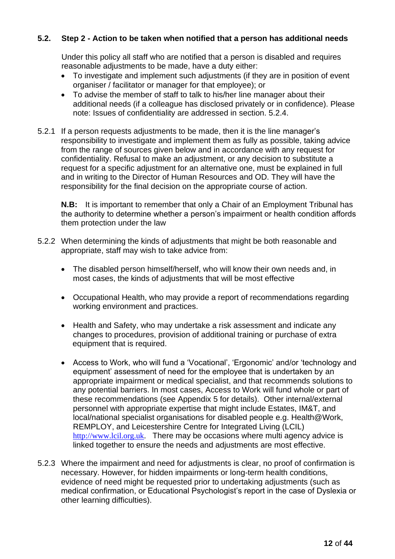#### **5.2. Step 2 - Action to be taken when notified that a person has additional needs**

Under this policy all staff who are notified that a person is disabled and requires reasonable adjustments to be made, have a duty either:

- To investigate and implement such adjustments (if they are in position of event organiser / facilitator or manager for that employee); or
- To advise the member of staff to talk to his/her line manager about their additional needs (if a colleague has disclosed privately or in confidence). Please note: Issues of confidentiality are addressed in section. 5.2.4.
- 5.2.1 If a person requests adjustments to be made, then it is the line manager's responsibility to investigate and implement them as fully as possible, taking advice from the range of sources given below and in accordance with any request for confidentiality. Refusal to make an adjustment, or any decision to substitute a request for a specific adjustment for an alternative one, must be explained in full and in writing to the Director of Human Resources and OD. They will have the responsibility for the final decision on the appropriate course of action.

**N.B:** It is important to remember that only a Chair of an Employment Tribunal has the authority to determine whether a person's impairment or health condition affords them protection under the law

- 5.2.2 When determining the kinds of adjustments that might be both reasonable and appropriate, staff may wish to take advice from:
	- The disabled person himself/herself, who will know their own needs and, in most cases, the kinds of adjustments that will be most effective
	- Occupational Health, who may provide a report of recommendations regarding working environment and practices.
	- Health and Safety, who may undertake a risk assessment and indicate any changes to procedures, provision of additional training or purchase of extra equipment that is required.
	- Access to Work, who will fund a 'Vocational', 'Ergonomic' and/or 'technology and equipment' assessment of need for the employee that is undertaken by an appropriate impairment or medical specialist, and that recommends solutions to any potential barriers. In most cases, Access to Work will fund whole or part of these recommendations (see Appendix 5 for details). Other internal/external personnel with appropriate expertise that might include Estates, IM&T, and local/national specialist organisations for disabled people e.g. Health@Work, REMPLOY, and Leicestershire Centre for Integrated Living (LCIL) [http://www.lcil.org.uk.](http://www.lcil.org.uk/) There may be occasions where multi agency advice is linked together to ensure the needs and adjustments are most effective.
- 5.2.3 Where the impairment and need for adjustments is clear, no proof of confirmation is necessary. However, for hidden impairments or long-term health conditions, evidence of need might be requested prior to undertaking adjustments (such as medical confirmation, or Educational Psychologist's report in the case of Dyslexia or other learning difficulties).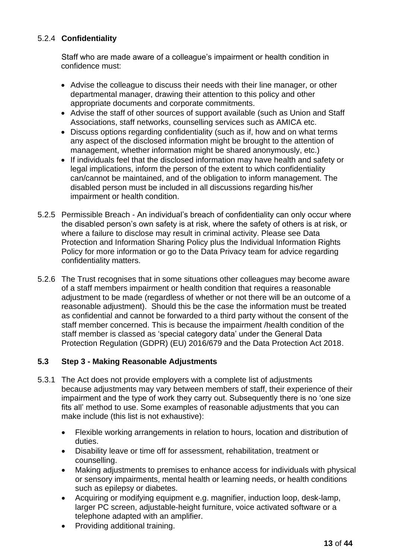#### 5.2.4 **Confidentiality**

Staff who are made aware of a colleague's impairment or health condition in confidence must:

- Advise the colleague to discuss their needs with their line manager, or other departmental manager, drawing their attention to this policy and other appropriate documents and corporate commitments.
- Advise the staff of other sources of support available (such as Union and Staff Associations, staff networks, counselling services such as AMICA etc.
- Discuss options regarding confidentiality (such as if, how and on what terms any aspect of the disclosed information might be brought to the attention of management, whether information might be shared anonymously, etc.)
- If individuals feel that the disclosed information may have health and safety or legal implications, inform the person of the extent to which confidentiality can/cannot be maintained, and of the obligation to inform management. The disabled person must be included in all discussions regarding his/her impairment or health condition.
- 5.2.5 Permissible Breach An individual's breach of confidentiality can only occur where the disabled person's own safety is at risk, where the safety of others is at risk, or where a failure to disclose may result in criminal activity. Please see Data Protection and Information Sharing Policy plus the Individual Information Rights Policy for more information or go to the Data Privacy team for advice regarding confidentiality matters.
- 5.2.6 The Trust recognises that in some situations other colleagues may become aware of a staff members impairment or health condition that requires a reasonable adjustment to be made (regardless of whether or not there will be an outcome of a reasonable adjustment). Should this be the case the information must be treated as confidential and cannot be forwarded to a third party without the consent of the staff member concerned. This is because the impairment /health condition of the staff member is classed as 'special category data' under the General Data Protection Regulation (GDPR) (EU) 2016/679 and the Data Protection Act 2018.

#### **5.3 Step 3 - Making Reasonable Adjustments**

- 5.3.1 The Act does not provide employers with a complete list of adjustments because adjustments may vary between members of staff, their experience of their impairment and the type of work they carry out. Subsequently there is no 'one size fits all' method to use. Some examples of reasonable adjustments that you can make include (this list is not exhaustive):
	- Flexible working arrangements in relation to hours, location and distribution of duties.
	- Disability leave or time off for assessment, rehabilitation, treatment or counselling.
	- Making adjustments to premises to enhance access for individuals with physical or sensory impairments, mental health or learning needs, or health conditions such as epilepsy or diabetes.
	- Acquiring or modifying equipment e.g. magnifier, induction loop, desk-lamp, larger PC screen, adjustable-height furniture, voice activated software or a telephone adapted with an amplifier.
	- Providing additional training.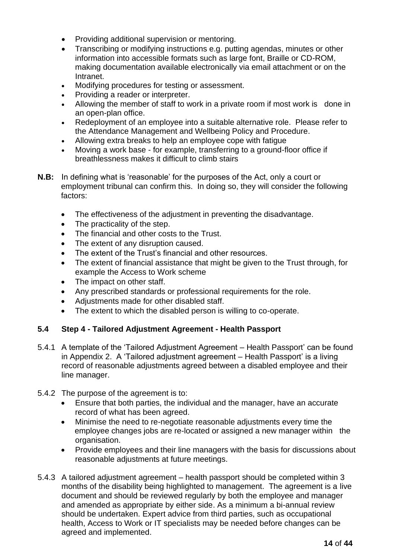- Providing additional supervision or mentoring.
- Transcribing or modifying instructions e.g. putting agendas, minutes or other information into accessible formats such as large font, Braille or CD-ROM, making documentation available electronically via email attachment or on the Intranet.
- Modifying procedures for testing or assessment.
- Providing a reader or interpreter.
- Allowing the member of staff to work in a private room if most work is done in an open-plan office.
- Redeployment of an employee into a suitable alternative role. Please refer to the Attendance Management and Wellbeing Policy and Procedure.
- Allowing extra breaks to help an employee cope with fatigue
- Moving a work base for example, transferring to a ground-floor office if breathlessness makes it difficult to climb stairs
- **N.B:** In defining what is 'reasonable' for the purposes of the Act, only a court or employment tribunal can confirm this. In doing so, they will consider the following factors:
	- The effectiveness of the adjustment in preventing the disadvantage.
	- The practicality of the step.
	- The financial and other costs to the Trust.
	- The extent of any disruption caused.
	- The extent of the Trust's financial and other resources.
	- The extent of financial assistance that might be given to the Trust through, for example the Access to Work scheme
	- The impact on other staff.
	- Any prescribed standards or professional requirements for the role.
	- Adjustments made for other disabled staff.
	- The extent to which the disabled person is willing to co-operate.

#### **5.4 Step 4 - Tailored Adjustment Agreement - Health Passport**

- 5.4.1 A template of the 'Tailored Adjustment Agreement Health Passport' can be found in Appendix 2. A 'Tailored adjustment agreement – Health Passport' is a living record of reasonable adjustments agreed between a disabled employee and their line manager.
- 5.4.2 The purpose of the agreement is to:
	- Ensure that both parties, the individual and the manager, have an accurate record of what has been agreed.
	- Minimise the need to re-negotiate reasonable adjustments every time the employee changes jobs are re-located or assigned a new manager within the organisation.
	- Provide employees and their line managers with the basis for discussions about reasonable adjustments at future meetings.
- 5.4.3 A tailored adjustment agreement health passport should be completed within 3 months of the disability being highlighted to management. The agreement is a live document and should be reviewed regularly by both the employee and manager and amended as appropriate by either side. As a minimum a bi-annual review should be undertaken. Expert advice from third parties, such as occupational health, Access to Work or IT specialists may be needed before changes can be agreed and implemented.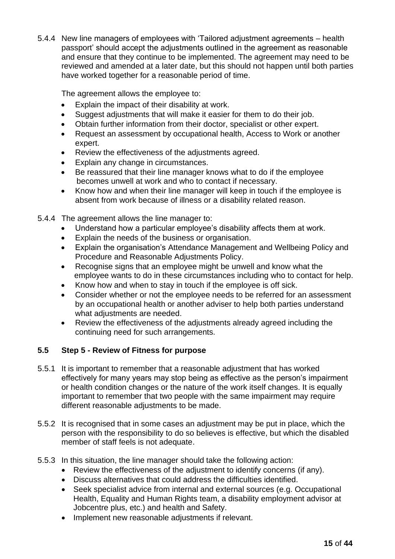5.4.4 New line managers of employees with 'Tailored adjustment agreements – health passport' should accept the adjustments outlined in the agreement as reasonable and ensure that they continue to be implemented. The agreement may need to be reviewed and amended at a later date, but this should not happen until both parties have worked together for a reasonable period of time.

The agreement allows the employee to:

- Explain the impact of their disability at work.
- Suggest adjustments that will make it easier for them to do their job.
- Obtain further information from their doctor, specialist or other expert.
- Request an assessment by occupational health, Access to Work or another expert.
- Review the effectiveness of the adjustments agreed.
- Explain any change in circumstances.
- Be reassured that their line manager knows what to do if the employee becomes unwell at work and who to contact if necessary.
- Know how and when their line manager will keep in touch if the employee is absent from work because of illness or a disability related reason.

#### 5.4.4 The agreement allows the line manager to:

- Understand how a particular employee's disability affects them at work.
- Explain the needs of the business or organisation.
- Explain the organisation's Attendance Management and Wellbeing Policy and Procedure and Reasonable Adjustments Policy.
- Recognise signs that an employee might be unwell and know what the employee wants to do in these circumstances including who to contact for help.
- Know how and when to stay in touch if the employee is off sick.
- Consider whether or not the employee needs to be referred for an assessment by an occupational health or another adviser to help both parties understand what adjustments are needed.
- Review the effectiveness of the adjustments already agreed including the continuing need for such arrangements.

#### **5.5 Step 5 - Review of Fitness for purpose**

- 5.5.1 It is important to remember that a reasonable adjustment that has worked effectively for many years may stop being as effective as the person's impairment or health condition changes or the nature of the work itself changes. It is equally important to remember that two people with the same impairment may require different reasonable adjustments to be made.
- 5.5.2 It is recognised that in some cases an adjustment may be put in place, which the person with the responsibility to do so believes is effective, but which the disabled member of staff feels is not adequate.
- 5.5.3 In this situation, the line manager should take the following action:
	- Review the effectiveness of the adjustment to identify concerns (if any).
	- Discuss alternatives that could address the difficulties identified.
	- Seek specialist advice from internal and external sources (e.g. Occupational Health, Equality and Human Rights team, a disability employment advisor at Jobcentre plus, etc.) and health and Safety.
	- Implement new reasonable adjustments if relevant.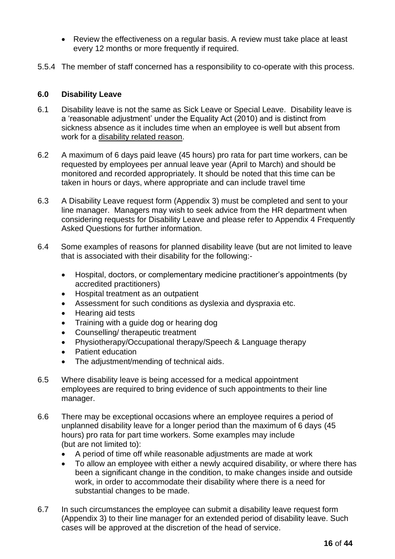- Review the effectiveness on a regular basis. A review must take place at least every 12 months or more frequently if required.
- 5.5.4 The member of staff concerned has a responsibility to co-operate with this process.

#### **6.0 Disability Leave**

- 6.1 Disability leave is not the same as Sick Leave or Special Leave. Disability leave is a 'reasonable adjustment' under the Equality Act (2010) and is distinct from sickness absence as it includes time when an employee is well but absent from work for a disability related reason.
- 6.2 A maximum of 6 days paid leave (45 hours) pro rata for part time workers, can be requested by employees per annual leave year (April to March) and should be monitored and recorded appropriately. It should be noted that this time can be taken in hours or days, where appropriate and can include travel time
- 6.3 A Disability Leave request form (Appendix 3) must be completed and sent to your line manager. Managers may wish to seek advice from the HR department when considering requests for Disability Leave and please refer to Appendix 4 Frequently Asked Questions for further information.
- 6.4 Some examples of reasons for planned disability leave (but are not limited to leave that is associated with their disability for the following:-
	- Hospital, doctors, or complementary medicine practitioner's appointments (by accredited practitioners)
	- Hospital treatment as an outpatient
	- Assessment for such conditions as dyslexia and dyspraxia etc.
	- Hearing aid tests
	- Training with a guide dog or hearing dog
	- Counselling/ therapeutic treatment
	- Physiotherapy/Occupational therapy/Speech & Language therapy
	- Patient education
	- The adjustment/mending of technical aids.
- 6.5 Where disability leave is being accessed for a medical appointment employees are required to bring evidence of such appointments to their line manager.
- 6.6 There may be exceptional occasions where an employee requires a period of unplanned disability leave for a longer period than the maximum of 6 days (45 hours) pro rata for part time workers. Some examples may include (but are not limited to):
	- A period of time off while reasonable adjustments are made at work
	- To allow an employee with either a newly acquired disability, or where there has been a significant change in the condition, to make changes inside and outside work, in order to accommodate their disability where there is a need for substantial changes to be made.
- 6.7 In such circumstances the employee can submit a disability leave request form (Appendix 3) to their line manager for an extended period of disability leave. Such cases will be approved at the discretion of the head of service.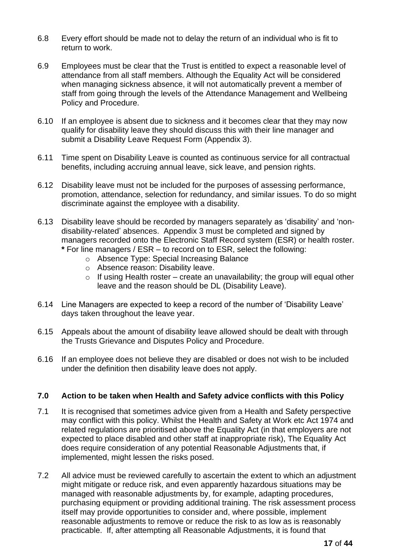- 6.8 Every effort should be made not to delay the return of an individual who is fit to return to work.
- 6.9 Employees must be clear that the Trust is entitled to expect a reasonable level of attendance from all staff members. Although the Equality Act will be considered when managing sickness absence, it will not automatically prevent a member of staff from going through the levels of the Attendance Management and Wellbeing Policy and Procedure.
- 6.10 If an employee is absent due to sickness and it becomes clear that they may now qualify for disability leave they should discuss this with their line manager and submit a Disability Leave Request Form (Appendix 3).
- 6.11 Time spent on Disability Leave is counted as continuous service for all contractual benefits, including accruing annual leave, sick leave, and pension rights.
- 6.12 Disability leave must not be included for the purposes of assessing performance, promotion, attendance, selection for redundancy, and similar issues. To do so might discriminate against the employee with a disability.
- 6.13 Disability leave should be recorded by managers separately as 'disability' and 'nondisability-related' absences. Appendix 3 must be completed and signed by managers recorded onto the Electronic Staff Record system (ESR) or health roster. **\*** For line managers / ESR – to record on to ESR, select the following:
	- o Absence Type: Special Increasing Balance
	- o Absence reason: Disability leave.
	- $\circ$  If using Health roster create an unavailability; the group will equal other leave and the reason should be DL (Disability Leave).
- 6.14 Line Managers are expected to keep a record of the number of 'Disability Leave' days taken throughout the leave year.
- 6.15 Appeals about the amount of disability leave allowed should be dealt with through the Trusts Grievance and Disputes Policy and Procedure.
- 6.16 If an employee does not believe they are disabled or does not wish to be included under the definition then disability leave does not apply.

#### **7.0 Action to be taken when Health and Safety advice conflicts with this Policy**

- 7.1 It is recognised that sometimes advice given from a Health and Safety perspective may conflict with this policy. Whilst the Health and Safety at Work etc Act 1974 and related regulations are prioritised above the Equality Act (in that employers are not expected to place disabled and other staff at inappropriate risk), The Equality Act does require consideration of any potential Reasonable Adjustments that, if implemented, might lessen the risks posed.
- 7.2 All advice must be reviewed carefully to ascertain the extent to which an adjustment might mitigate or reduce risk, and even apparently hazardous situations may be managed with reasonable adjustments by, for example, adapting procedures, purchasing equipment or providing additional training. The risk assessment process itself may provide opportunities to consider and, where possible, implement reasonable adjustments to remove or reduce the risk to as low as is reasonably practicable. If, after attempting all Reasonable Adjustments, it is found that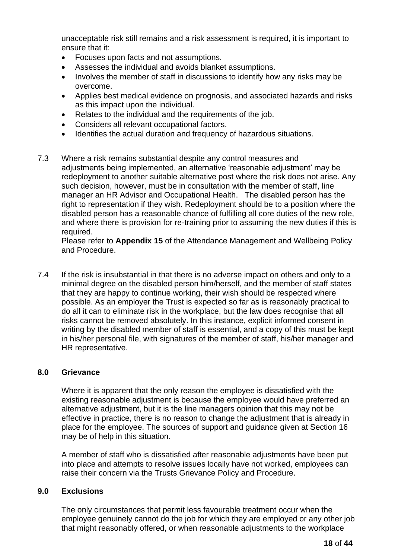unacceptable risk still remains and a risk assessment is required, it is important to ensure that it:

- Focuses upon facts and not assumptions.
- Assesses the individual and avoids blanket assumptions.
- Involves the member of staff in discussions to identify how any risks may be overcome.
- Applies best medical evidence on prognosis, and associated hazards and risks as this impact upon the individual.
- Relates to the individual and the requirements of the job.
- Considers all relevant occupational factors.
- Identifies the actual duration and frequency of hazardous situations.
- 7.3 Where a risk remains substantial despite any control measures and adjustments being implemented, an alternative 'reasonable adjustment' may be redeployment to another suitable alternative post where the risk does not arise. Any such decision, however, must be in consultation with the member of staff, line manager an HR Advisor and Occupational Health. The disabled person has the right to representation if they wish. Redeployment should be to a position where the disabled person has a reasonable chance of fulfilling all core duties of the new role, and where there is provision for re-training prior to assuming the new duties if this is required.

Please refer to **Appendix 15** of the Attendance Management and Wellbeing Policy and Procedure.

7.4 If the risk is insubstantial in that there is no adverse impact on others and only to a minimal degree on the disabled person him/herself, and the member of staff states that they are happy to continue working, their wish should be respected where possible. As an employer the Trust is expected so far as is reasonably practical to do all it can to eliminate risk in the workplace, but the law does recognise that all risks cannot be removed absolutely. In this instance, explicit informed consent in writing by the disabled member of staff is essential, and a copy of this must be kept in his/her personal file, with signatures of the member of staff, his/her manager and HR representative.

#### **8.0 Grievance**

Where it is apparent that the only reason the employee is dissatisfied with the existing reasonable adjustment is because the employee would have preferred an alternative adjustment, but it is the line managers opinion that this may not be effective in practice, there is no reason to change the adjustment that is already in place for the employee. The sources of support and guidance given at Section 16 may be of help in this situation.

A member of staff who is dissatisfied after reasonable adjustments have been put into place and attempts to resolve issues locally have not worked, employees can raise their concern via the Trusts Grievance Policy and Procedure.

#### **9.0 Exclusions**

The only circumstances that permit less favourable treatment occur when the employee genuinely cannot do the job for which they are employed or any other job that might reasonably offered, or when reasonable adjustments to the workplace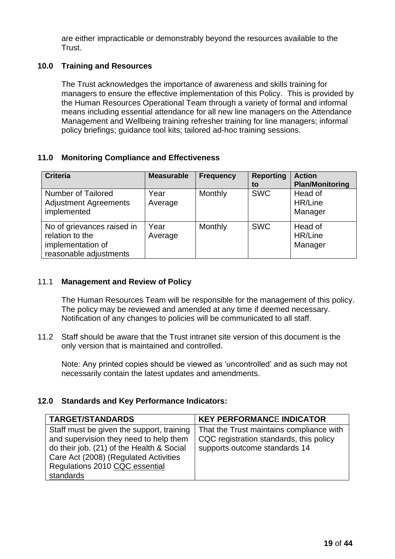are either impracticable or demonstrably beyond the resources available to the Trust.

#### **10.0 Training and Resources**

The Trust acknowledges the importance of awareness and skills training for managers to ensure the effective implementation of this Policy. This is provided by the Human Resources Operational Team through a variety of formal and informal means including essential attendance for all new line managers on the Attendance Management and Wellbeing training refresher training for line managers; informal policy briefings; guidance tool kits; tailored ad-hoc training sessions.

#### **11.0 Monitoring Compliance and Effectiveness**

| <b>Criteria</b>                                                                              | <b>Measurable</b> | Frequency | <b>Reporting</b><br>to | <b>Action</b><br><b>Plan/Monitoring</b> |
|----------------------------------------------------------------------------------------------|-------------------|-----------|------------------------|-----------------------------------------|
| <b>Number of Tailored</b><br><b>Adjustment Agreements</b><br>implemented                     | Year<br>Average   | Monthly   | <b>SWC</b>             | Head of<br>HR/Line<br>Manager           |
| No of grievances raised in<br>relation to the<br>implementation of<br>reasonable adjustments | Year<br>Average   | Monthly   | <b>SWC</b>             | Head of<br>HR/Line<br>Manager           |

#### 11.1 **Management and Review of Policy**

The Human Resources Team will be responsible for the management of this policy. The policy may be reviewed and amended at any time if deemed necessary. Notification of any changes to policies will be communicated to all staff.

11.2 Staff should be aware that the Trust intranet site version of this document is the only version that is maintained and controlled.

Note: Any printed copies should be viewed as 'uncontrolled' and as such may not necessarily contain the latest updates and amendments.

#### **12.0 Standards and Key Performance Indicators:**

| <b>TARGET/STANDARDS</b>                                                                                                                                                                                                  | <b>KEY PERFORMANCE INDICATOR</b>                                                                                     |
|--------------------------------------------------------------------------------------------------------------------------------------------------------------------------------------------------------------------------|----------------------------------------------------------------------------------------------------------------------|
| Staff must be given the support, training<br>and supervision they need to help them<br>do their job. (21) of the Health & Social<br>Care Act (2008) (Regulated Activities<br>Regulations 2010 CQC essential<br>standards | That the Trust maintains compliance with<br>CQC registration standards, this policy<br>supports outcome standards 14 |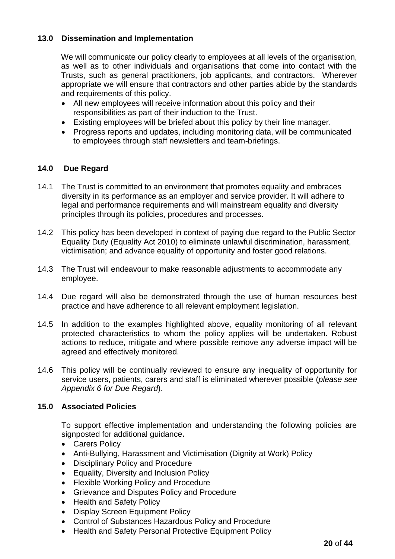#### **13.0 Dissemination and Implementation**

We will communicate our policy clearly to employees at all levels of the organisation, as well as to other individuals and organisations that come into contact with the Trusts, such as general practitioners, job applicants, and contractors. Wherever appropriate we will ensure that contractors and other parties abide by the standards and requirements of this policy.

- All new employees will receive information about this policy and their responsibilities as part of their induction to the Trust.
- Existing employees will be briefed about this policy by their line manager.
- Progress reports and updates, including monitoring data, will be communicated to employees through staff newsletters and team-briefings.

#### **14.0 Due Regard**

- 14.1 The Trust is committed to an environment that promotes equality and embraces diversity in its performance as an employer and service provider. It will adhere to legal and performance requirements and will mainstream equality and diversity principles through its policies, procedures and processes.
- 14.2 This policy has been developed in context of paying due regard to the Public Sector Equality Duty (Equality Act 2010) to eliminate unlawful discrimination, harassment, victimisation; and advance equality of opportunity and foster good relations.
- 14.3 The Trust will endeavour to make reasonable adjustments to accommodate any employee.
- 14.4 Due regard will also be demonstrated through the use of human resources best practice and have adherence to all relevant employment legislation.
- 14.5 In addition to the examples highlighted above, equality monitoring of all relevant protected characteristics to whom the policy applies will be undertaken. Robust actions to reduce, mitigate and where possible remove any adverse impact will be agreed and effectively monitored.
- 14.6 This policy will be continually reviewed to ensure any inequality of opportunity for service users, patients, carers and staff is eliminated wherever possible (*please see Appendix 6 for Due Regard*).

#### **15.0 Associated Policies**

To support effective implementation and understanding the following policies are signposted for additional guidance**.** 

- Carers Policy
- Anti-Bullying, Harassment and Victimisation (Dignity at Work) Policy
- Disciplinary Policy and Procedure
- Equality, Diversity and Inclusion Policy
- Flexible Working Policy and Procedure
- Grievance and Disputes Policy and Procedure
- Health and Safety Policy
- Display Screen Equipment Policy
- Control of Substances Hazardous Policy and Procedure
- Health and Safety Personal Protective Equipment Policy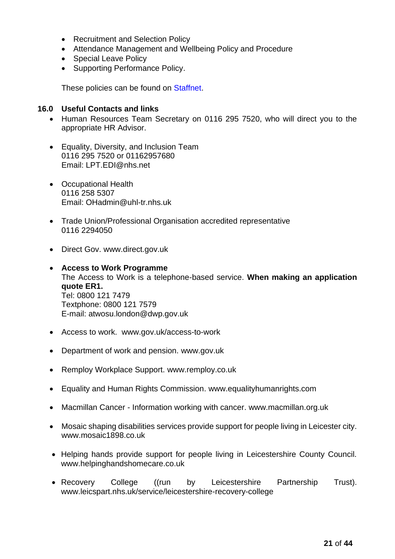- Recruitment and Selection Policy
- Attendance Management and Wellbeing Policy and Procedure
- Special Leave Policy
- Supporting Performance Policy.

These policies can be found on Staffnet.

#### **16.0 Useful Contacts and links**

- Human Resources Team Secretary on 0116 295 7520, who will direct you to the appropriate HR Advisor.
- Equality, Diversity, and Inclusion Team 0116 295 7520 or 01162957680 Email: LPT.EDI@nhs.net
- Occupational Health 0116 258 5307 Email: OHadmin@uhl-tr.nhs.uk
- Trade Union/Professional Organisation accredited representative 0116 2294050
- Direct Gov. www.direct.gov.uk
- **Access to Work Programme** The Access to Work is a telephone-based service. **When making an application quote ER1.** Tel: 0800 121 7479 Textphone: 0800 121 7579 E-mail: atwosu.london@dwp.gov.uk
- Access to work. www.gov.uk/access-to-work
- Department of work and pension. www.gov.uk
- Remploy Workplace Support. www.remploy.co.uk
- [Equality and Human Rights Commission.](http://www.equalityhumanrights.com/advice-and-guidance/your-rights/disability/disability-in-employment/at-work-making-reasonable-adjustments/) www.equalityhumanrights.com
- Macmillan Cancer [Information working with cancer.](http://www.macmillan.org.uk/Cancerinformation/Livingwithandaftercancer/Workandcancer/Supportforemployees/Workcancer/Discrimination.aspx) www.macmillan.org.uk
- Mosaic shaping disabilities services provide support for people living in Leicester city. www.mosaic1898.co.uk
- Helping hands provide support for people living in Leicestershire County Council. www.helpinghandshomecare.co.uk
- Recovery College ((run by Leicestershire Partnership Trust). www.leicspart.nhs.uk/service/leicestershire-recovery-college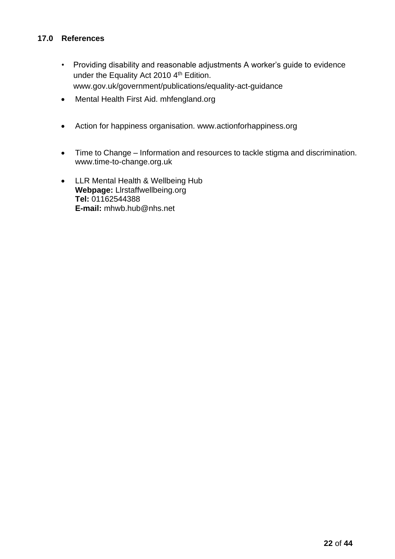#### **17.0 References**

- Providing disability and reasonable adjustments A worker's guide to evidence under the Equality Act 2010 4<sup>th</sup> Edition. www.gov.uk/government/publications/equality-act-guidance
- Mental Health First Aid. mhfengland.org
- Action for happiness organisation. www.actionforhappiness.org
- Time to Change Information and resources to tackle stigma and discrimination. www.time-to-change.org.uk
- LLR Mental Health & Wellbeing Hub **Webpage:** Llrstaffwellbeing.org **Tel:** 01162544388 **E-mail:** mhwb.hub@nhs.net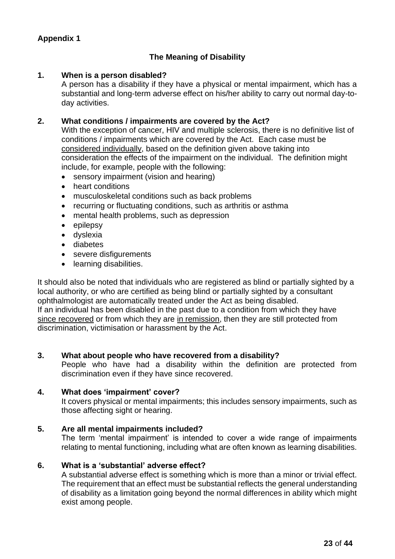#### **Appendix 1**

#### **The Meaning of Disability**

#### **1. When is a person disabled?**

A person has a disability if they have a physical or mental impairment, which has a substantial and long-term adverse effect on his/her ability to carry out normal day-today activities.

#### **2. What conditions / impairments are covered by the Act?**

With the exception of cancer, HIV and multiple sclerosis, there is no definitive list of conditions / impairments which are covered by the Act. Each case must be considered individually, based on the definition given above taking into consideration the effects of the impairment on the individual. The definition might include, for example, people with the following:

- sensory impairment (vision and hearing)
- heart conditions
- musculoskeletal conditions such as back problems
- recurring or fluctuating conditions, such as arthritis or asthma
- mental health problems, such as depression
- epilepsy
- dyslexia
- diabetes
- severe disfigurements
- learning disabilities.

It should also be noted that individuals who are registered as blind or partially sighted by a local authority, or who are certified as being blind or partially sighted by a consultant ophthalmologist are automatically treated under the Act as being disabled. If an individual has been disabled in the past due to a condition from which they have since recovered or from which they are in remission, then they are still protected from discrimination, victimisation or harassment by the Act.

#### **3. What about people who have recovered from a disability?**

People who have had a disability within the definition are protected from discrimination even if they have since recovered.

#### **4. What does 'impairment' cover?**

It covers physical or mental impairments; this includes sensory impairments, such as those affecting sight or hearing.

#### **5. Are all mental impairments included?**

The term 'mental impairment' is intended to cover a wide range of impairments relating to mental functioning, including what are often known as learning disabilities.

#### **6. What is a 'substantial' adverse effect?**

A substantial adverse effect is something which is more than a minor or trivial effect. The requirement that an effect must be substantial reflects the general understanding of disability as a limitation going beyond the normal differences in ability which might exist among people.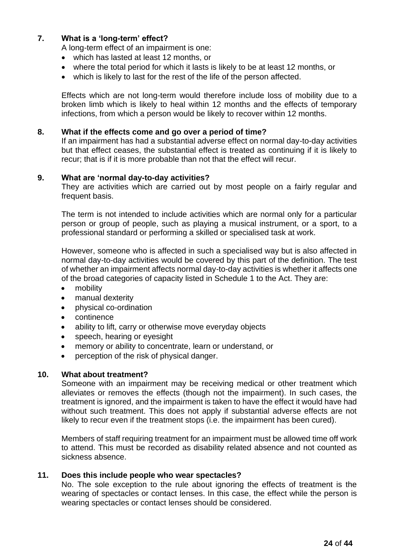#### **7. What is a 'long-term' effect?**

A long-term effect of an impairment is one:

- which has lasted at least 12 months, or
- where the total period for which it lasts is likely to be at least 12 months, or
- which is likely to last for the rest of the life of the person affected.

Effects which are not long-term would therefore include loss of mobility due to a broken limb which is likely to heal within 12 months and the effects of temporary infections, from which a person would be likely to recover within 12 months.

#### **8. What if the effects come and go over a period of time?**

If an impairment has had a substantial adverse effect on normal day-to-day activities but that effect ceases, the substantial effect is treated as continuing if it is likely to recur; that is if it is more probable than not that the effect will recur.

#### **9. What are 'normal day-to-day activities?**

They are activities which are carried out by most people on a fairly regular and frequent basis.

The term is not intended to include activities which are normal only for a particular person or group of people, such as playing a musical instrument, or a sport, to a professional standard or performing a skilled or specialised task at work.

However, someone who is affected in such a specialised way but is also affected in normal day-to-day activities would be covered by this part of the definition. The test of whether an impairment affects normal day-to-day activities is whether it affects one of the broad categories of capacity listed in Schedule 1 to the Act. They are:

- mobility
- manual dexterity
- physical co-ordination
- continence
- ability to lift, carry or otherwise move everyday objects
- speech, hearing or eyesight
- memory or ability to concentrate, learn or understand, or
- perception of the risk of physical danger.

#### **10. What about treatment?**

Someone with an impairment may be receiving medical or other treatment which alleviates or removes the effects (though not the impairment). In such cases, the treatment is ignored, and the impairment is taken to have the effect it would have had without such treatment. This does not apply if substantial adverse effects are not likely to recur even if the treatment stops (i.e. the impairment has been cured).

Members of staff requiring treatment for an impairment must be allowed time off work to attend. This must be recorded as disability related absence and not counted as sickness absence.

#### **11. Does this include people who wear spectacles?**

No. The sole exception to the rule about ignoring the effects of treatment is the wearing of spectacles or contact lenses. In this case, the effect while the person is wearing spectacles or contact lenses should be considered.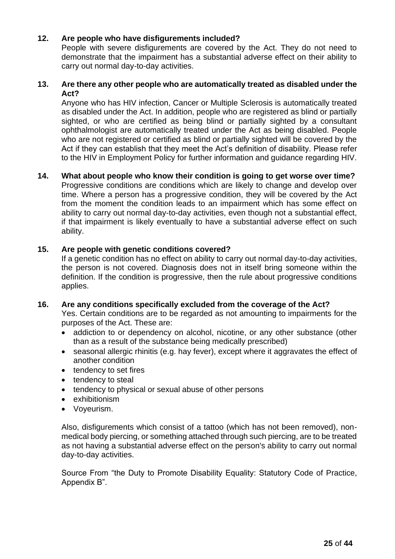#### **12. Are people who have disfigurements included?**

People with severe disfigurements are covered by the Act. They do not need to demonstrate that the impairment has a substantial adverse effect on their ability to carry out normal day-to-day activities.

#### **13. Are there any other people who are automatically treated as disabled under the Act?**

Anyone who has HIV infection, Cancer or Multiple Sclerosis is automatically treated as disabled under the Act. In addition, people who are registered as blind or partially sighted, or who are certified as being blind or partially sighted by a consultant ophthalmologist are automatically treated under the Act as being disabled. People who are not registered or certified as blind or partially sighted will be covered by the Act if they can establish that they meet the Act's definition of disability. Please refer to the HIV in Employment Policy for further information and guidance regarding HIV.

#### **14. What about people who know their condition is going to get worse over time?**

Progressive conditions are conditions which are likely to change and develop over time. Where a person has a progressive condition, they will be covered by the Act from the moment the condition leads to an impairment which has some effect on ability to carry out normal day-to-day activities, even though not a substantial effect, if that impairment is likely eventually to have a substantial adverse effect on such ability.

#### **15. Are people with genetic conditions covered?**

If a genetic condition has no effect on ability to carry out normal day-to-day activities, the person is not covered. Diagnosis does not in itself bring someone within the definition. If the condition is progressive, then the rule about progressive conditions applies.

#### **16. Are any conditions specifically excluded from the coverage of the Act?**

Yes. Certain conditions are to be regarded as not amounting to impairments for the purposes of the Act. These are:

- addiction to or dependency on alcohol, nicotine, or any other substance (other than as a result of the substance being medically prescribed)
- seasonal allergic rhinitis (e.g. hay fever), except where it aggravates the effect of another condition
- tendency to set fires
- tendency to steal
- tendency to physical or sexual abuse of other persons
- exhibitionism
- Voyeurism.

Also, disfigurements which consist of a tattoo (which has not been removed), nonmedical body piercing, or something attached through such piercing, are to be treated as not having a substantial adverse effect on the person's ability to carry out normal day-to-day activities.

Source From "the Duty to Promote Disability Equality: Statutory Code of Practice, Appendix B".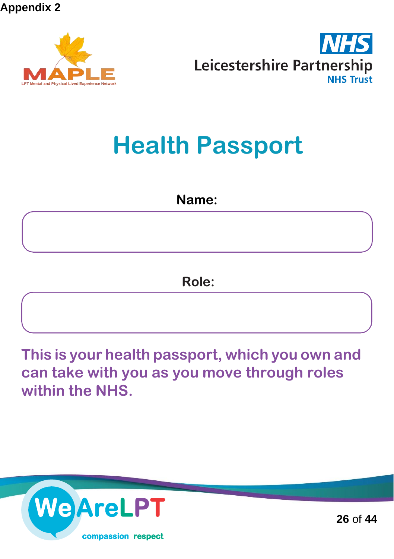**Appendix 2**





## **Health Passport**

**Name:**

**Role:**

**This is your health passport, which you own and can take with you as you move through roles within the NHS.**



**26** of **44**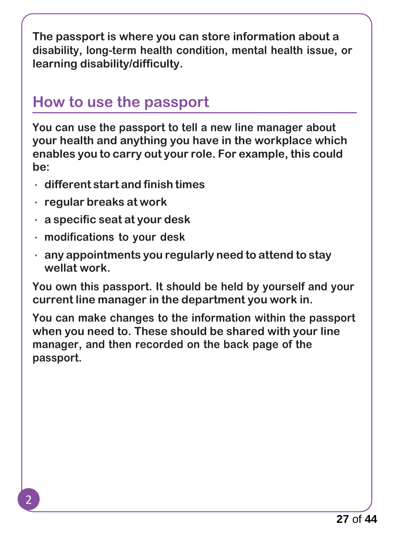**The passport is where you can store information about a disability, long-term health condition, mental health issue, or learning disability/difficulty.**

## **How to use the passport**

**You can use the passport to tell a new line manager about your health and anything you have in the workplace which enables you to carry out your role. For example, this could be:**

- **different start and finish times**
- **regular breaks at work**
- **a specific seat at your desk**
- **modifications to your desk**
- **any appointments you regularly need to attend to stay wellat work.**

**You own this passport. It should be held by yourself and your current line manager in the department you work in.**

**You can make changes to the information within the passport when you need to. These should be shared with your line manager, and then recorded on the back page of the passport.**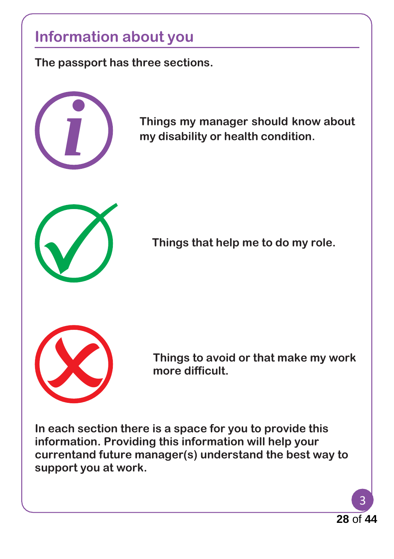## **Information about you**

**The passport has three sections.**



**Things my manager should know about my disability or health condition**.

**Things that help me to do my role.**



**Things to avoid or that make my work more difficult.**

**In each section there is a space for you to provide this information. Providing this information will help your currentand future manager(s) understand the best way to support you at work.**

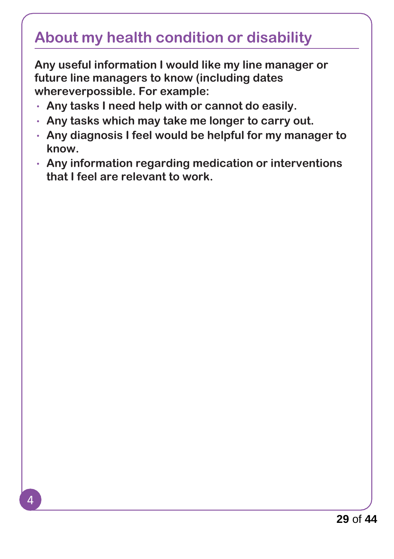## **About my health condition or disability**

**Any useful information I would like my line manager or future line managers to know (including dates whereverpossible. For example:**

- **Any tasks I need help with or cannot do easily.**
- **Any tasks which may take me longer to carry out.**
- **Any diagnosis I feel would be helpful for my manager to know.**
- **Any information regarding medication or interventions that I feel are relevant to work.**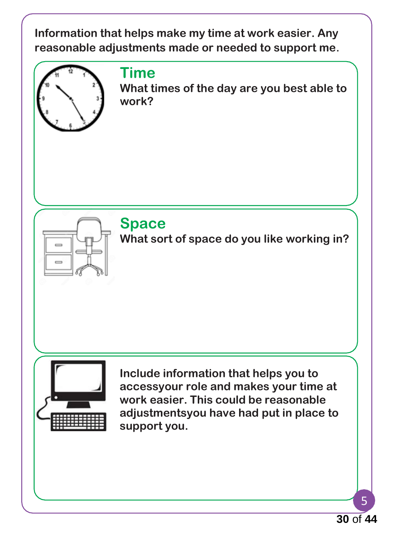**Information that helps make my time at work easier. Any reasonable adjustments made or needed to support me**.

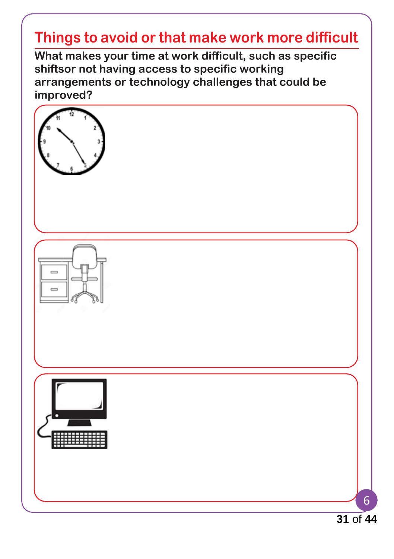## **Things to avoid or that make work more difficult**

**What makes your time at work difficult, such as specific shiftsor not having access to specific working arrangements or technology challenges that could be improved?**

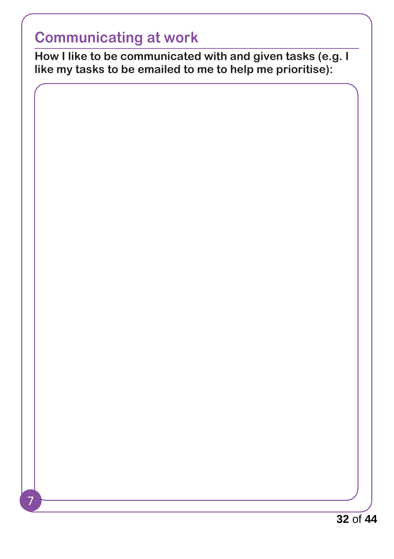## **Communicating at work**

**How I like to be communicated with and given tasks (e.g. I like my tasks to be emailed to me to help me prioritise):**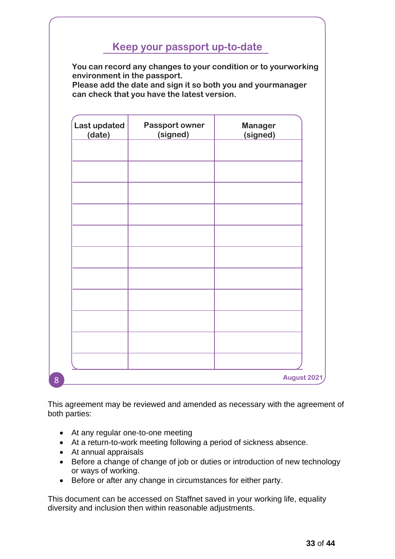## **Keep your passport up-to-date**

**You can record any changes to your condition or to yourworking environment in the passport.**

**Please add the date and sign it so both you and yourmanager can check that you have the latest version.**

| Last updated<br>(date) | Passport owner<br>(signed) | <b>Manager</b><br>(signed) |
|------------------------|----------------------------|----------------------------|
|                        |                            |                            |
|                        |                            |                            |
|                        |                            |                            |
|                        |                            |                            |
|                        |                            |                            |
|                        |                            |                            |
|                        |                            |                            |
|                        |                            |                            |
|                        |                            |                            |
|                        |                            |                            |
|                        |                            |                            |
|                        |                            |                            |
|                        |                            |                            |
|                        |                            |                            |
|                        |                            |                            |
|                        |                            |                            |
|                        |                            |                            |
|                        |                            |                            |
|                        |                            |                            |
|                        |                            |                            |
|                        |                            |                            |

This agreement may be reviewed and amended as necessary with the agreement of both parties:

- At any regular one-to-one meeting
- At a return-to-work meeting following a period of sickness absence.
- At annual appraisals
- Before a change of change of job or duties or introduction of new technology or ways of working.
- Before or after any change in circumstances for either party.

This document can be accessed on Staffnet saved in your working life, equality diversity and inclusion then within reasonable adjustments.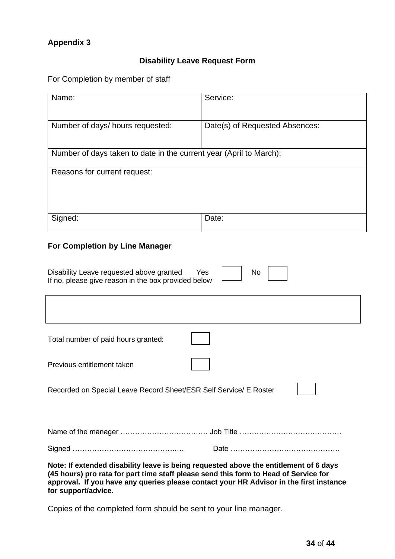#### **Disability Leave Request Form**

For Completion by member of staff

| Name:                                                              | Service:                       |
|--------------------------------------------------------------------|--------------------------------|
|                                                                    |                                |
|                                                                    |                                |
| Number of days/ hours requested:                                   | Date(s) of Requested Absences: |
|                                                                    |                                |
|                                                                    |                                |
| Number of days taken to date in the current year (April to March): |                                |
|                                                                    |                                |
| Reasons for current request:                                       |                                |
|                                                                    |                                |
|                                                                    |                                |
|                                                                    |                                |
|                                                                    |                                |
| Signed:                                                            | Date:                          |
|                                                                    |                                |
|                                                                    |                                |
| <b>For Completion by Line Manager</b>                              |                                |
|                                                                    |                                |
| Disability Leave requested above granted                           | Yes<br>No                      |
| If no, please give reason in the box provided below                |                                |
|                                                                    |                                |
|                                                                    |                                |
|                                                                    |                                |
|                                                                    |                                |
|                                                                    |                                |
|                                                                    |                                |

|                                                                   | Note: If extended disability leave is being requested above the entitlement of 6 days |
|-------------------------------------------------------------------|---------------------------------------------------------------------------------------|
|                                                                   |                                                                                       |
|                                                                   |                                                                                       |
| Recorded on Special Leave Record Sheet/ESR Self Service/ E Roster |                                                                                       |
| Previous entitlement taken                                        |                                                                                       |
| Total number of paid hours granted:                               |                                                                                       |

**(45 hours) pro rata for part time staff please send this form to Head of Service for approval. If you have any queries please contact your HR Advisor in the first instance for support/advice.**

Copies of the completed form should be sent to your line manager.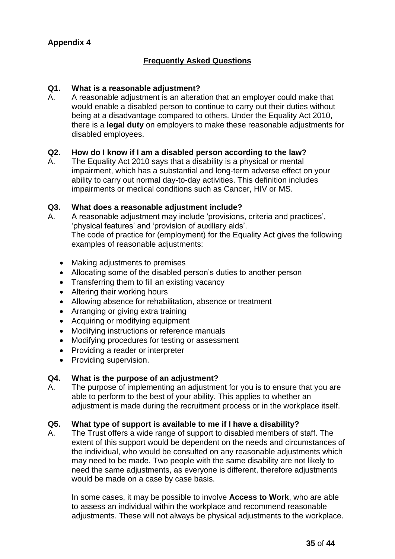#### **Frequently Asked Questions**

#### **Q1. What is a reasonable adjustment?**

A. A reasonable adjustment is an alteration that an employer could make that would enable a disabled person to continue to carry out their duties without being at a disadvantage compared to others. Under the Equality Act 2010, there is a **legal duty** on employers to make these reasonable adjustments for disabled employees.

#### **Q2. How do I know if I am a disabled person according to the law?**

A. The Equality Act 2010 says that a disability is a physical or mental impairment, which has a substantial and long-term adverse effect on your ability to carry out normal day-to-day activities. This definition includes impairments or medical conditions such as Cancer, HIV or MS.

#### **Q3. What does a reasonable adjustment include?**

- A. A reasonable adjustment may include 'provisions, criteria and practices', 'physical features' and 'provision of auxiliary aids'. The code of practice for (employment) for the Equality Act gives the following examples of reasonable adjustments:
	- Making adjustments to premises
	- Allocating some of the disabled person's duties to another person
	- Transferring them to fill an existing vacancy
	- Altering their working hours
	- Allowing absence for rehabilitation, absence or treatment
	- Arranging or giving extra training
	- Acquiring or modifying equipment
	- Modifying instructions or reference manuals
	- Modifying procedures for testing or assessment
	- Providing a reader or interpreter
	- Providing supervision.

#### **Q4. What is the purpose of an adjustment?**

A. The purpose of implementing an adjustment for you is to ensure that you are able to perform to the best of your ability. This applies to whether an adjustment is made during the recruitment process or in the workplace itself.

#### **Q5. What type of support is available to me if I have a disability?**

A. The Trust offers a wide range of support to disabled members of staff. The extent of this support would be dependent on the needs and circumstances of the individual, who would be consulted on any reasonable adjustments which may need to be made. Two people with the same disability are not likely to need the same adjustments, as everyone is different, therefore adjustments would be made on a case by case basis.

In some cases, it may be possible to involve **Access to Work**, who are able to assess an individual within the workplace and recommend reasonable adjustments. These will not always be physical adjustments to the workplace.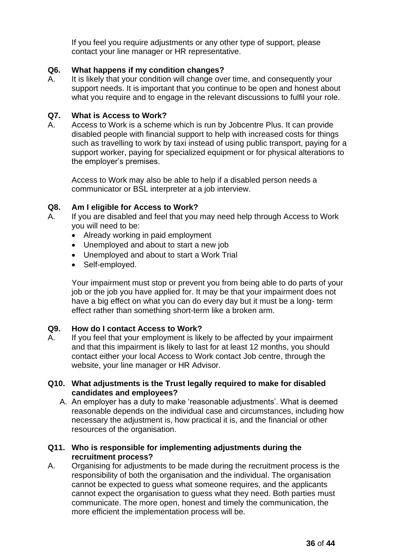If you feel you require adjustments or any other type of support, please contact your line manager or HR representative.

#### **Q6. What happens if my condition changes?**

A. It is likely that your condition will change over time, and consequently your support needs. It is important that you continue to be open and honest about what you require and to engage in the relevant discussions to fulfil your role.

#### **Q7. What is Access to Work?**

A. Access to Work is a scheme which is run by Jobcentre Plus. It can provide disabled people with financial support to help with increased costs for things such as travelling to work by taxi instead of using public transport, paying for a support worker, paying for specialized equipment or for physical alterations to the employer's premises.

Access to Work may also be able to help if a disabled person needs a communicator or BSL interpreter at a job interview.

#### **Q8. Am I eligible for Access to Work?**

- A. If you are disabled and feel that you may need help through Access to Work you will need to be:
	- Already working in paid employment
	- Unemployed and about to start a new job
	- Unemployed and about to start a Work Trial
	- Self-employed.

Your impairment must stop or prevent you from being able to do parts of your job or the job you have applied for. It may be that your impairment does not have a big effect on what you can do every day but it must be a long- term effect rather than something short-term like a broken arm.

#### **Q9. How do I contact Access to Work?**

A. If you feel that your employment is likely to be affected by your impairment and that this impairment is likely to last for at least 12 months, you should contact either your local Access to Work contact Job centre, through the website, your line manager or HR Advisor.

#### **Q10. What adjustments is the Trust legally required to make for disabled candidates and employees?**

A. An employer has a duty to make 'reasonable adjustments'. What is deemed reasonable depends on the individual case and circumstances, including how necessary the adjustment is, how practical it is, and the financial or other resources of the organisation.

#### **Q11. Who is responsible for implementing adjustments during the recruitment process?**

A. Organising for adjustments to be made during the recruitment process is the responsibility of both the organisation and the individual. The organisation cannot be expected to guess what someone requires, and the applicants cannot expect the organisation to guess what they need. Both parties must communicate. The more open, honest and timely the communication, the more efficient the implementation process will be.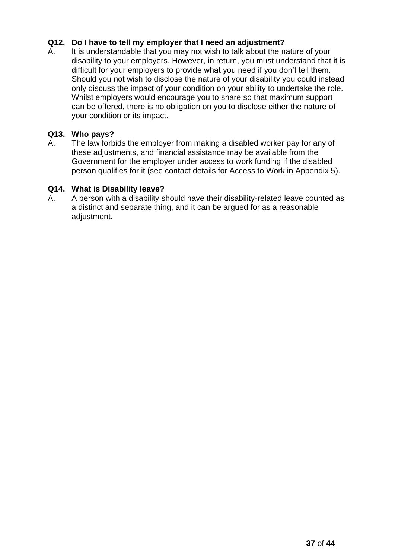#### **Q12. Do I have to tell my employer that I need an adjustment?**

A. It is understandable that you may not wish to talk about the nature of your disability to your employers. However, in return, you must understand that it is difficult for your employers to provide what you need if you don't tell them. Should you not wish to disclose the nature of your disability you could instead only discuss the impact of your condition on your ability to undertake the role. Whilst employers would encourage you to share so that maximum support can be offered, there is no obligation on you to disclose either the nature of your condition or its impact.

#### **Q13. Who pays?**

A. The law forbids the employer from making a disabled worker pay for any of these adjustments, and financial assistance may be available from the Government for the employer under access to work funding if the disabled person qualifies for it (see contact details for Access to Work in Appendix 5).

#### **Q14. What is Disability leave?**

A. A person with a disability should have their disability-related leave counted as a distinct and separate thing, and it can be argued for as a reasonable adjustment.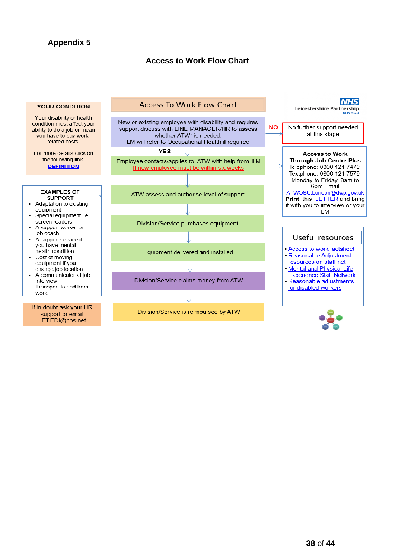#### **Appendix 5**

#### **Access to Work Flow Chart**

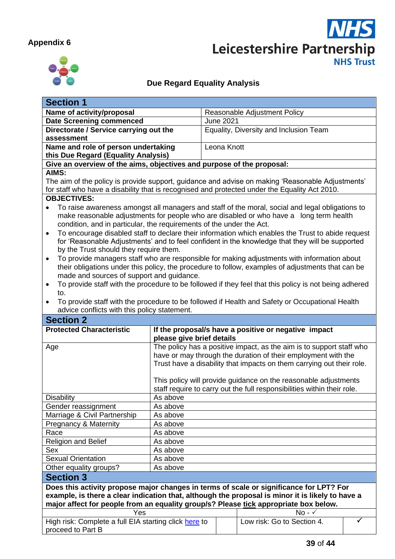## **Appendix 6**



## **Due Regard Equality Analysis**

| <b>Section 1</b>                                                           |                                                                       |                                                                                                                                                                                                   |  |  |  |
|----------------------------------------------------------------------------|-----------------------------------------------------------------------|---------------------------------------------------------------------------------------------------------------------------------------------------------------------------------------------------|--|--|--|
| Name of activity/proposal                                                  |                                                                       | Reasonable Adjustment Policy                                                                                                                                                                      |  |  |  |
| <b>Date Screening commenced</b>                                            |                                                                       | <b>June 2021</b>                                                                                                                                                                                  |  |  |  |
| Directorate / Service carrying out the                                     |                                                                       | Equality, Diversity and Inclusion Team                                                                                                                                                            |  |  |  |
| assessment                                                                 |                                                                       |                                                                                                                                                                                                   |  |  |  |
| Name and role of person undertaking                                        |                                                                       | Leona Knott                                                                                                                                                                                       |  |  |  |
| this Due Regard (Equality Analysis)                                        |                                                                       |                                                                                                                                                                                                   |  |  |  |
| Give an overview of the aims, objectives and purpose of the proposal:      |                                                                       |                                                                                                                                                                                                   |  |  |  |
| AIMS:                                                                      |                                                                       |                                                                                                                                                                                                   |  |  |  |
|                                                                            |                                                                       | The aim of the policy is provide support, guidance and advise on making 'Reasonable Adjustments'<br>for staff who have a disability that is recognised and protected under the Equality Act 2010. |  |  |  |
| <b>OBJECTIVES:</b>                                                         |                                                                       |                                                                                                                                                                                                   |  |  |  |
| $\bullet$                                                                  |                                                                       | To raise awareness amongst all managers and staff of the moral, social and legal obligations to                                                                                                   |  |  |  |
|                                                                            |                                                                       | make reasonable adjustments for people who are disabled or who have a long term health                                                                                                            |  |  |  |
| condition, and in particular, the requirements of the under the Act.       |                                                                       |                                                                                                                                                                                                   |  |  |  |
| $\bullet$                                                                  |                                                                       | To encourage disabled staff to declare their information which enables the Trust to abide request                                                                                                 |  |  |  |
|                                                                            |                                                                       | for 'Reasonable Adjustments' and to feel confident in the knowledge that they will be supported                                                                                                   |  |  |  |
| by the Trust should they require them.                                     |                                                                       |                                                                                                                                                                                                   |  |  |  |
| $\bullet$                                                                  |                                                                       | To provide managers staff who are responsible for making adjustments with information about                                                                                                       |  |  |  |
|                                                                            |                                                                       | their obligations under this policy, the procedure to follow, examples of adjustments that can be                                                                                                 |  |  |  |
| made and sources of support and guidance.                                  |                                                                       |                                                                                                                                                                                                   |  |  |  |
| $\bullet$                                                                  |                                                                       | To provide staff with the procedure to be followed if they feel that this policy is not being adhered                                                                                             |  |  |  |
| to.                                                                        |                                                                       |                                                                                                                                                                                                   |  |  |  |
| $\bullet$                                                                  |                                                                       | To provide staff with the procedure to be followed if Health and Safety or Occupational Health                                                                                                    |  |  |  |
| advice conflicts with this policy statement.                               |                                                                       |                                                                                                                                                                                                   |  |  |  |
| <b>Section 2</b>                                                           |                                                                       |                                                                                                                                                                                                   |  |  |  |
| <b>Protected Characteristic</b>                                            | please give brief details                                             | If the proposal/s have a positive or negative impact                                                                                                                                              |  |  |  |
| Age                                                                        |                                                                       | The policy has a positive impact, as the aim is to support staff who                                                                                                                              |  |  |  |
|                                                                            | have or may through the duration of their employment with the         |                                                                                                                                                                                                   |  |  |  |
|                                                                            | Trust have a disability that impacts on them carrying out their role. |                                                                                                                                                                                                   |  |  |  |
|                                                                            |                                                                       |                                                                                                                                                                                                   |  |  |  |
|                                                                            |                                                                       |                                                                                                                                                                                                   |  |  |  |
|                                                                            |                                                                       | This policy will provide guidance on the reasonable adjustments                                                                                                                                   |  |  |  |
|                                                                            |                                                                       | staff require to carry out the full responsibilities within their role.                                                                                                                           |  |  |  |
| <b>Disability</b>                                                          | As above                                                              |                                                                                                                                                                                                   |  |  |  |
| Gender reassignment                                                        | As above                                                              |                                                                                                                                                                                                   |  |  |  |
| Marriage & Civil Partnership                                               | As above                                                              |                                                                                                                                                                                                   |  |  |  |
| Pregnancy & Maternity                                                      | As above                                                              |                                                                                                                                                                                                   |  |  |  |
| Race                                                                       | As above                                                              |                                                                                                                                                                                                   |  |  |  |
| Religion and Belief                                                        | As above                                                              |                                                                                                                                                                                                   |  |  |  |
| Sex                                                                        | As above                                                              |                                                                                                                                                                                                   |  |  |  |
| <b>Sexual Orientation</b>                                                  | As above                                                              |                                                                                                                                                                                                   |  |  |  |
| Other equality groups?                                                     | As above                                                              |                                                                                                                                                                                                   |  |  |  |
| <b>Section 3</b>                                                           |                                                                       |                                                                                                                                                                                                   |  |  |  |
|                                                                            |                                                                       | Does this activity propose major changes in terms of scale or significance for LPT? For                                                                                                           |  |  |  |
|                                                                            |                                                                       | example, is there a clear indication that, although the proposal is minor it is likely to have a                                                                                                  |  |  |  |
|                                                                            |                                                                       | major affect for people from an equality group/s? Please tick appropriate box below.                                                                                                              |  |  |  |
| Yes                                                                        |                                                                       | $No - <$                                                                                                                                                                                          |  |  |  |
| High risk: Complete a full EIA starting click here to<br>proceed to Part B |                                                                       | Low risk: Go to Section 4.<br>✓                                                                                                                                                                   |  |  |  |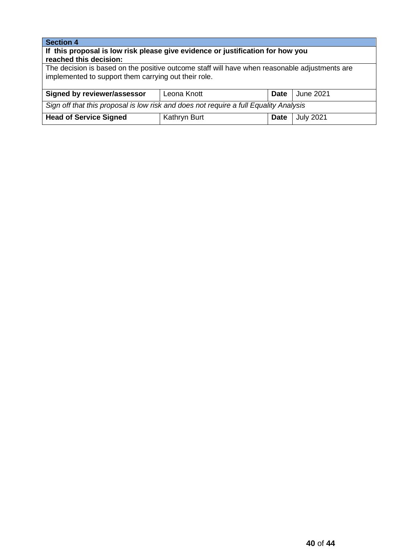#### **Section 4**

#### **If this proposal is low risk please give evidence or justification for how you reached this decision:**

The decision is based on the positive outcome staff will have when reasonable adjustments are implemented to support them carrying out their role.

| <b>Signed by reviewer/assessor</b>                                                    | Leona Knott  | Date        | June 2021        |  |
|---------------------------------------------------------------------------------------|--------------|-------------|------------------|--|
| Sign off that this proposal is low risk and does not require a full Equality Analysis |              |             |                  |  |
| <b>Head of Service Signed</b>                                                         | Kathryn Burt | <b>Date</b> | <b>July 2021</b> |  |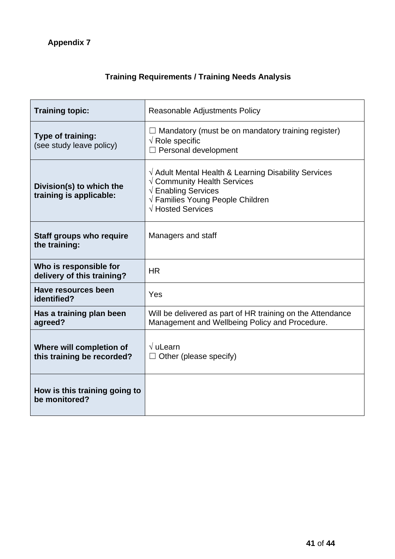## **Training Requirements / Training Needs Analysis**

| <b>Training topic:</b>                                 | Reasonable Adjustments Policy                                                                                                                                                                                            |  |  |  |  |
|--------------------------------------------------------|--------------------------------------------------------------------------------------------------------------------------------------------------------------------------------------------------------------------------|--|--|--|--|
| Type of training:<br>(see study leave policy)          | $\Box$ Mandatory (must be on mandatory training register)<br>$\sqrt{ }$ Role specific<br>$\Box$ Personal development                                                                                                     |  |  |  |  |
| Division(s) to which the<br>training is applicable:    | $\sqrt{ }$ Adult Mental Health & Learning Disability Services<br>$\sqrt{\rm$ Community Health Services<br>$\sqrt{\mathsf{E}}$ nabling Services<br>$\sqrt{}$ Families Young People Children<br>$\sqrt{ }$ Hosted Services |  |  |  |  |
| <b>Staff groups who require</b><br>the training:       | Managers and staff                                                                                                                                                                                                       |  |  |  |  |
| Who is responsible for<br>delivery of this training?   | <b>HR</b>                                                                                                                                                                                                                |  |  |  |  |
| Have resources been<br>identified?                     | Yes                                                                                                                                                                                                                      |  |  |  |  |
| Has a training plan been<br>agreed?                    | Will be delivered as part of HR training on the Attendance<br>Management and Wellbeing Policy and Procedure.                                                                                                             |  |  |  |  |
| Where will completion of<br>this training be recorded? | $\sqrt{u}$ uLearn<br>$\Box$ Other (please specify)                                                                                                                                                                       |  |  |  |  |
| How is this training going to<br>be monitored?         |                                                                                                                                                                                                                          |  |  |  |  |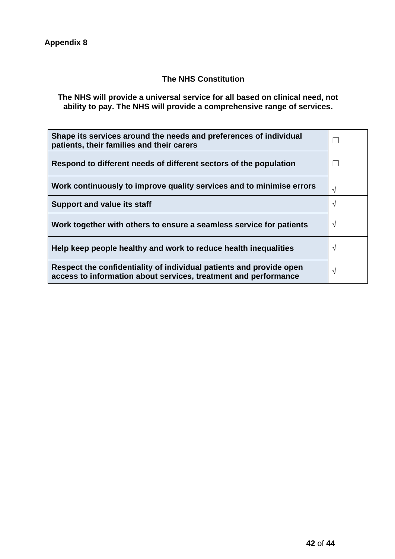#### **The NHS Constitution**

**The NHS will provide a universal service for all based on clinical need, not ability to pay. The NHS will provide a comprehensive range of services.**

| Shape its services around the needs and preferences of individual<br>patients, their families and their carers                         |   |  |
|----------------------------------------------------------------------------------------------------------------------------------------|---|--|
| Respond to different needs of different sectors of the population                                                                      |   |  |
| Work continuously to improve quality services and to minimise errors                                                                   |   |  |
| <b>Support and value its staff</b>                                                                                                     | V |  |
| Work together with others to ensure a seamless service for patients                                                                    | V |  |
| Help keep people healthy and work to reduce health inequalities                                                                        | V |  |
| Respect the confidentiality of individual patients and provide open<br>access to information about services, treatment and performance | V |  |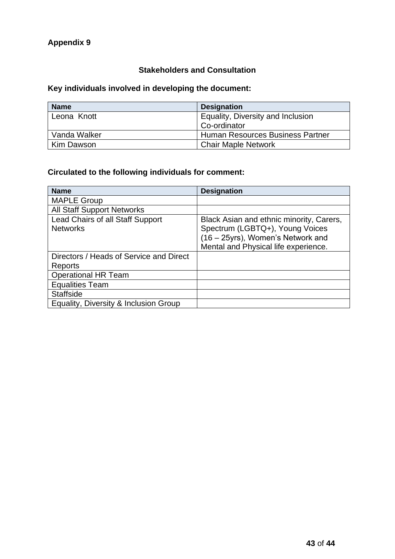## **Appendix 9**

#### **Stakeholders and Consultation**

#### **Key individuals involved in developing the document:**

| <b>Name</b>  | <b>Designation</b>                |
|--------------|-----------------------------------|
| Leona Knott  | Equality, Diversity and Inclusion |
|              | Co-ordinator                      |
| Vanda Walker | Human Resources Business Partner  |
| Kim Dawson   | <b>Chair Maple Network</b>        |

## **Circulated to the following individuals for comment:**

| <b>Name</b>                                                | <b>Designation</b>                                                                                                                                       |  |  |  |
|------------------------------------------------------------|----------------------------------------------------------------------------------------------------------------------------------------------------------|--|--|--|
| <b>MAPLE Group</b>                                         |                                                                                                                                                          |  |  |  |
| <b>All Staff Support Networks</b>                          |                                                                                                                                                          |  |  |  |
| <b>Lead Chairs of all Staff Support</b><br><b>Networks</b> | Black Asian and ethnic minority, Carers,<br>Spectrum (LGBTQ+), Young Voices<br>(16 – 25yrs), Women's Network and<br>Mental and Physical life experience. |  |  |  |
| Directors / Heads of Service and Direct<br>Reports         |                                                                                                                                                          |  |  |  |
| <b>Operational HR Team</b>                                 |                                                                                                                                                          |  |  |  |
| <b>Equalities Team</b>                                     |                                                                                                                                                          |  |  |  |
| <b>Staffside</b>                                           |                                                                                                                                                          |  |  |  |
| Equality, Diversity & Inclusion Group                      |                                                                                                                                                          |  |  |  |